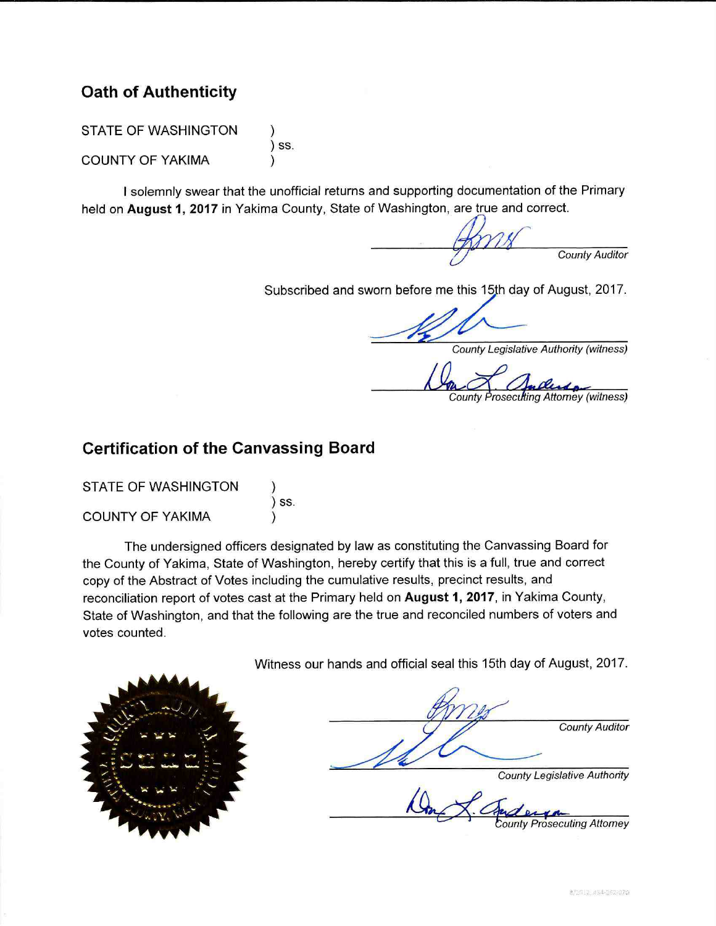## **Oath of Authenticity**

**STATE OF WASHINGTON**  $\overline{\phantom{a}}$  SS. **COUNTY OF YAKIMA** 

I solemnly swear that the unofficial returns and supporting documentation of the Primary held on August 1, 2017 in Yakima County, State of Washington, are true and correct.

**County Auditor** 

Subscribed and sworn before me this 15th day of August, 2017.

**County Legislative Authority (witness)** 

**County Prosecutting Attorney (witness)** 

## **Certification of the Canvassing Board**

| <b>STATE OF WASHINGTON</b> |       |
|----------------------------|-------|
|                            | ) SS. |
| <b>COUNTY OF YAKIMA</b>    |       |

The undersigned officers designated by law as constituting the Canvassing Board for the County of Yakima, State of Washington, hereby certify that this is a full, true and correct copy of the Abstract of Votes including the cumulative results, precinct results, and reconciliation report of votes cast at the Primary held on August 1, 2017, in Yakima County, State of Washington, and that the following are the true and reconciled numbers of voters and votes counted.

Witness our hands and official seal this 15th day of August, 2017.



**County Auditor County Legislative Authority** 

**unty Prosecuting Attorney**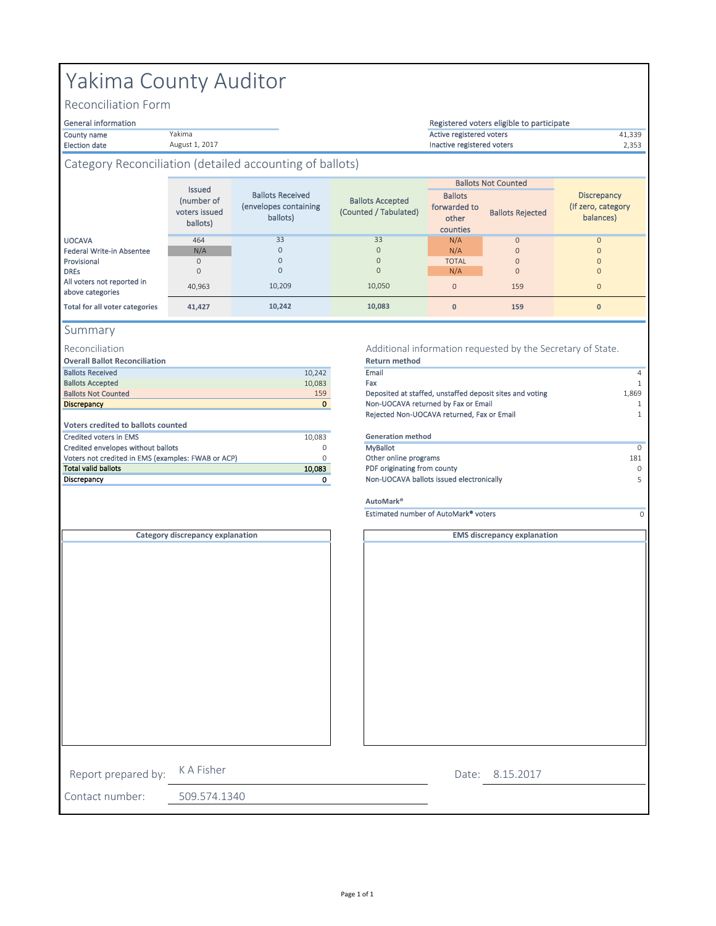#### County name **1992** and the Vakima and Vakima and Vakima and Vakima and Vakima and Active registered voters and the 41,339 Election date 2,353 Inactive registered voters Ballots forwarded to other counties Ballots Rejected UOCAVA 464 N/A 0 0 Federal Write-in Absentee N/A N/A 0 0 Provisional 0 TOTAL 0 0 DREs 0 N/A 0 0 All voters not reported in above categories 40,963 <sup>0</sup> <sup>159</sup> <sup>0</sup> **Total for all voter categories 41,427 0 159 0** 10,242 4 10,083 1 Ballots Not Counted 159 1,869 1,869 1,869 1,869 1,869 1,869 1,869 1,869 1,869 1,869 1,869 1,869 1,869 1,869 1,869 1,869 1,869 1,869 1,869 1,869 1,869 1,869 1,869 1,869 1,869 1,869 1,869 1,869 1,869 1,869 1,869 1,869 1,869 **Discrepancy Example 2** 1 **1** 1 **1** 2 **1** 2 **1** 2 **1** 2 **1** 2 **1** 2 **1** 2 **1** 2 **1** 2 **1** 2 **1** 2 **1** 2 **1** 2 **1** 2 **1** 2 **1** 2 **1** 2 **1** 2 **1** 2 **1** 2 **1** 2 **1** 2 **1** 2 **1** 2 **1** 2 **1** 2 **1** 2 **1** 2 **1** 2 **1** 2 **1** 2 **1** 10,083 0 MyBallot 0 0 **181** Other online programs **181 10,083** PDF originating from county and the same of the same of the same of the same of the same of the same of the same of the same of the same of the same of the same of the same of the same of the same of the same of t 0 5 Non-UOCAVA ballots issued electronically K A Fisher Estimated number of AutoMark® voters **Return method** Email Fax Rejected Non-UOCAVA returned, Fax or Email **Discrepancy Voters credited to ballots counted Generation method AutoMark®** Credited envelopes without ballots Credited voters in EMS Ballots Received Ballots Accepted<br>Ballots Not Counted **Overall Ballot Reconciliation** Voters not credited in EMS (examples: FWAB or ACP) **MyBallot** 33 0 10,209 10,050 Additional information requested by the Secretary of State. Summary 33 0 0 0 0 0 **10,083** Reconciliation **10,242** Registered voters eligible to participate Yakima County Auditor Issued (number of voters issued ballots) General information Reconciliation Form Ballots Not Counted Yakima August 1, 2017 **Discrepancy** (If zero, category balances) Ballots Received (envelopes containing ballots) Category Reconciliation (detailed accounting of ballots) Ballots Accepted (Counted / Tabulated) Report prepared by: **EMS discrepancy explanation Category discrepancy explanation**

8.15.2017 Date:

1

 $\overline{0}$ 

Contact number: 509.574.1340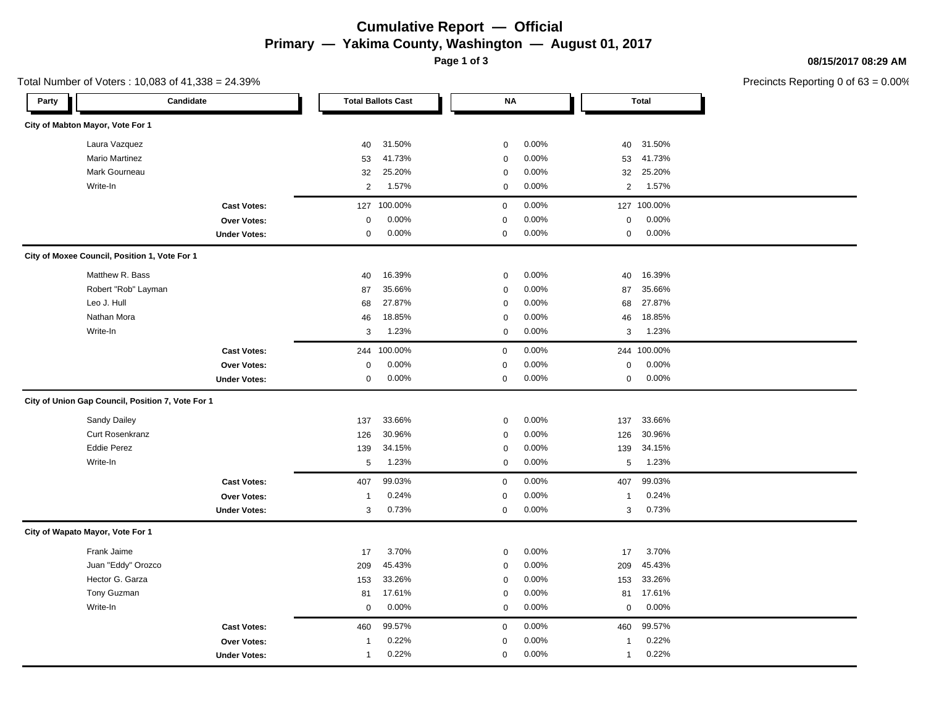## **Cumulative Report — Official Primary — Yakima County, Washington — August 01, 2017**

**Page 1 of 3**

#### **08/15/2017 08:29 AM**

|                                  | Total Number of Voters: 10,083 of 41,338 = 24.39% |                |                           |                  |       |                |              | Precincts Reporting 0 of |
|----------------------------------|---------------------------------------------------|----------------|---------------------------|------------------|-------|----------------|--------------|--------------------------|
| Party                            | Candidate                                         |                | <b>Total Ballots Cast</b> | <b>NA</b>        |       |                | <b>Total</b> |                          |
| City of Mabton Mayor, Vote For 1 |                                                   |                |                           |                  |       |                |              |                          |
|                                  | Laura Vazquez                                     | 40             | 31.50%                    | $\mathbf 0$      | 0.00% | 40             | 31.50%       |                          |
|                                  | <b>Mario Martinez</b>                             | 53             | 41.73%                    | $\mathsf 0$      | 0.00% | 53             | 41.73%       |                          |
|                                  | Mark Gourneau                                     | 32             | 25.20%                    | $\mathbf 0$      | 0.00% | 32             | 25.20%       |                          |
|                                  | Write-In                                          | 2              | 1.57%                     | $\mathbf 0$      | 0.00% | $\overline{2}$ | 1.57%        |                          |
|                                  | <b>Cast Votes:</b>                                | 127            | 100.00%                   | $\mathbf 0$      | 0.00% |                | 127 100.00%  |                          |
|                                  | Over Votes:                                       | $\mathbf 0$    | 0.00%                     | $\pmb{0}$        | 0.00% | $\mathbf 0$    | 0.00%        |                          |
|                                  | <b>Under Votes:</b>                               | 0              | 0.00%                     | $\mathbf 0$      | 0.00% | $\mathbf 0$    | 0.00%        |                          |
|                                  | City of Moxee Council, Position 1, Vote For 1     |                |                           |                  |       |                |              |                          |
|                                  | Matthew R. Bass                                   | 40             | 16.39%                    | 0                | 0.00% | 40             | 16.39%       |                          |
|                                  | Robert "Rob" Layman                               | 87             | 35.66%                    | $\mathsf 0$      | 0.00% | 87             | 35.66%       |                          |
|                                  | Leo J. Hull                                       | 68             | 27.87%                    | $\mathbf 0$      | 0.00% | 68             | 27.87%       |                          |
|                                  | Nathan Mora                                       | 46             | 18.85%                    | $\mathbf 0$      | 0.00% | 46             | 18.85%       |                          |
|                                  | Write-In                                          | 3              | 1.23%                     | $\mathbf 0$      | 0.00% | 3              | 1.23%        |                          |
|                                  | <b>Cast Votes:</b>                                | 244            | 100.00%                   | $\mathbf 0$      | 0.00% |                | 244 100.00%  |                          |
|                                  | Over Votes:                                       | $\mathbf 0$    | 0.00%                     | $\pmb{0}$        | 0.00% | $\mathbf 0$    | 0.00%        |                          |
|                                  | <b>Under Votes:</b>                               | 0              | 0.00%                     | $\mathbf{0}$     | 0.00% | 0              | 0.00%        |                          |
|                                  | City of Union Gap Council, Position 7, Vote For 1 |                |                           |                  |       |                |              |                          |
|                                  | <b>Sandy Dailey</b>                               | 137            | 33.66%                    | $\mathbf 0$      | 0.00% | 137            | 33.66%       |                          |
|                                  | <b>Curt Rosenkranz</b>                            | 126            | 30.96%                    | $\mathsf 0$      | 0.00% | 126            | 30.96%       |                          |
|                                  | <b>Eddie Perez</b>                                | 139            | 34.15%                    | $\mathbf 0$      | 0.00% | 139            | 34.15%       |                          |
|                                  | Write-In                                          | 5              | 1.23%                     | $\boldsymbol{0}$ | 0.00% | 5              | 1.23%        |                          |
|                                  | <b>Cast Votes:</b>                                | 407            | 99.03%                    | $\mathbf 0$      | 0.00% | 407            | 99.03%       |                          |
|                                  | Over Votes:                                       | -1             | 0.24%                     | $\pmb{0}$        | 0.00% | $\mathbf{1}$   | 0.24%        |                          |
|                                  | <b>Under Votes:</b>                               | 3              | 0.73%                     | $\pmb{0}$        | 0.00% | 3              | 0.73%        |                          |
| City of Wapato Mayor, Vote For 1 |                                                   |                |                           |                  |       |                |              |                          |
|                                  | Frank Jaime                                       | 17             | 3.70%                     | $\pmb{0}$        | 0.00% | 17             | 3.70%        |                          |
|                                  | Juan "Eddy" Orozco                                | 209            | 45.43%                    | $\mathsf 0$      | 0.00% | 209            | 45.43%       |                          |
|                                  | Hector G. Garza                                   | 153            | 33.26%                    | $\mathbf 0$      | 0.00% | 153            | 33.26%       |                          |
|                                  | Tony Guzman                                       | 81             | 17.61%                    | $\mathbf 0$      | 0.00% | 81             | 17.61%       |                          |
|                                  | Write-In                                          | $\mathbf 0$    | 0.00%                     | $\mathbf 0$      | 0.00% | $\pmb{0}$      | 0.00%        |                          |
|                                  | <b>Cast Votes:</b>                                | 460            | 99.57%                    | $\mathsf 0$      | 0.00% | 460            | 99.57%       |                          |
|                                  | Over Votes:                                       | $\mathbf{1}$   | 0.22%                     | 0                | 0.00% | 1              | 0.22%        |                          |
|                                  | <b>Under Votes:</b>                               | $\overline{1}$ | 0.22%                     | 0                | 0.00% | $\mathbf{1}$   | 0.22%        |                          |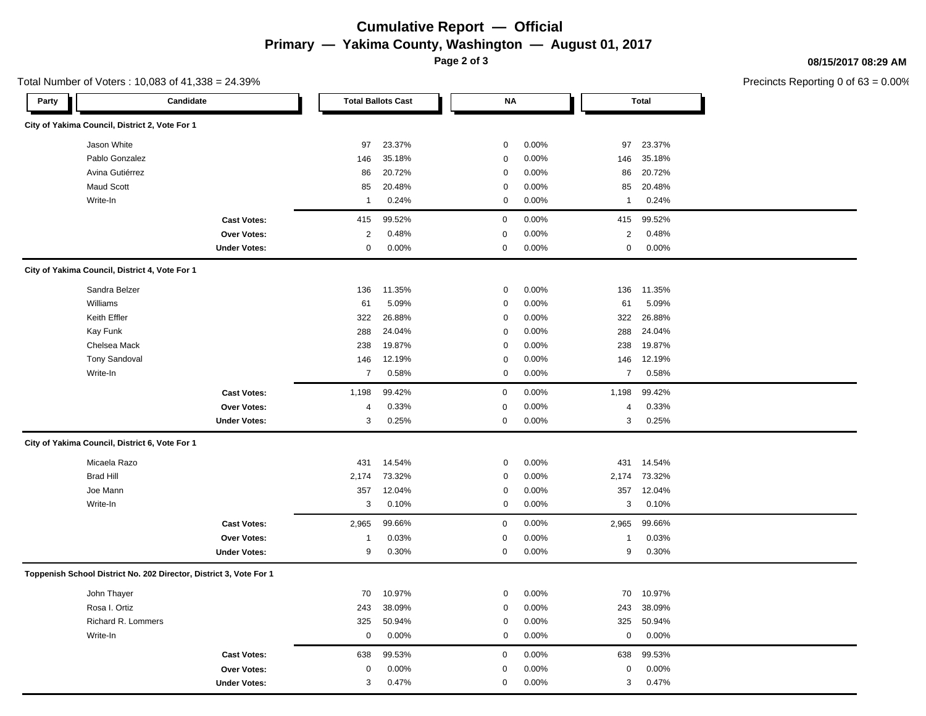## **Cumulative Report — Official Primary — Yakima County, Washington — August 01, 2017**

**Page 2 of 3**

Total Number of Voters : 10,083 of 41,338 = 24.39%

#### **08/15/2017 08:29 AM**

| Party | Candidate                                                          |                     | <b>Total Ballots Cast</b> |        |  | <b>NA</b>   |       |  | <b>Total</b>   |        |  |
|-------|--------------------------------------------------------------------|---------------------|---------------------------|--------|--|-------------|-------|--|----------------|--------|--|
|       | City of Yakima Council, District 2, Vote For 1                     |                     |                           |        |  |             |       |  |                |        |  |
|       | Jason White                                                        |                     | 97                        | 23.37% |  | $\mathsf 0$ | 0.00% |  | 97             | 23.37% |  |
|       | Pablo Gonzalez                                                     |                     | 146                       | 35.18% |  | $\pmb{0}$   | 0.00% |  | 146            | 35.18% |  |
|       | Avina Gutiérrez                                                    |                     | 86                        | 20.72% |  | $\pmb{0}$   | 0.00% |  | 86             | 20.72% |  |
|       | <b>Maud Scott</b>                                                  |                     | 85                        | 20.48% |  | $\mathbf 0$ | 0.00% |  | 85             | 20.48% |  |
|       | Write-In                                                           |                     | $\mathbf{1}$              | 0.24%  |  | $\mathsf 0$ | 0.00% |  | -1             | 0.24%  |  |
|       |                                                                    | <b>Cast Votes:</b>  | 415                       | 99.52% |  | $\mathbf 0$ | 0.00% |  | 415            | 99.52% |  |
|       |                                                                    | <b>Over Votes:</b>  | $\overline{c}$            | 0.48%  |  | 0           | 0.00% |  | $\sqrt{2}$     | 0.48%  |  |
|       |                                                                    | <b>Under Votes:</b> | $\mathsf 0$               | 0.00%  |  | $\mathbf 0$ | 0.00% |  | $\mathbf 0$    | 0.00%  |  |
|       | City of Yakima Council, District 4, Vote For 1                     |                     |                           |        |  |             |       |  |                |        |  |
|       | Sandra Belzer                                                      |                     | 136                       | 11.35% |  | $\mathbf 0$ | 0.00% |  | 136            | 11.35% |  |
|       | Williams                                                           |                     | 61                        | 5.09%  |  | $\mathbf 0$ | 0.00% |  | 61             | 5.09%  |  |
|       | Keith Effler                                                       |                     | 322                       | 26.88% |  | $\mathbf 0$ | 0.00% |  | 322            | 26.88% |  |
|       | Kay Funk                                                           |                     | 288                       | 24.04% |  | $\mathbf 0$ | 0.00% |  | 288            | 24.04% |  |
|       | Chelsea Mack                                                       |                     | 238                       | 19.87% |  | $\mathbf 0$ | 0.00% |  | 238            | 19.87% |  |
|       | <b>Tony Sandoval</b>                                               |                     | 146                       | 12.19% |  | $\mathbf 0$ | 0.00% |  | 146            | 12.19% |  |
|       | Write-In                                                           |                     | $\overline{7}$            | 0.58%  |  | $\mathbf 0$ | 0.00% |  | $\overline{7}$ | 0.58%  |  |
|       |                                                                    | <b>Cast Votes:</b>  | 1,198                     | 99.42% |  | 0           | 0.00% |  | 1,198          | 99.42% |  |
|       |                                                                    | Over Votes:         | $\overline{4}$            | 0.33%  |  | $\mathbf 0$ | 0.00% |  | 4              | 0.33%  |  |
|       |                                                                    | <b>Under Votes:</b> | 3                         | 0.25%  |  | 0           | 0.00% |  | 3              | 0.25%  |  |
|       | City of Yakima Council, District 6, Vote For 1                     |                     |                           |        |  |             |       |  |                |        |  |
|       | Micaela Razo                                                       |                     | 431                       | 14.54% |  | $\mathsf 0$ | 0.00% |  | 431            | 14.54% |  |
|       | <b>Brad Hill</b>                                                   |                     | 2,174                     | 73.32% |  | $\mathbf 0$ | 0.00% |  | 2,174          | 73.32% |  |
|       | Joe Mann                                                           |                     | 357                       | 12.04% |  | $\mathsf 0$ | 0.00% |  | 357            | 12.04% |  |
|       | Write-In                                                           |                     | 3                         | 0.10%  |  | $\mathsf 0$ | 0.00% |  | 3              | 0.10%  |  |
|       |                                                                    | <b>Cast Votes:</b>  | 2,965                     | 99.66% |  | $\mathbf 0$ | 0.00% |  | 2,965          | 99.66% |  |
|       |                                                                    | Over Votes:         | $\mathbf{1}$              | 0.03%  |  | 0           | 0.00% |  | -1             | 0.03%  |  |
|       |                                                                    | <b>Under Votes:</b> | 9                         | 0.30%  |  | 0           | 0.00% |  | 9              | 0.30%  |  |
|       | Toppenish School District No. 202 Director, District 3, Vote For 1 |                     |                           |        |  |             |       |  |                |        |  |
|       | John Thayer                                                        |                     | 70                        | 10.97% |  | $\mathbf 0$ | 0.00% |  | 70             | 10.97% |  |
|       | Rosa I. Ortiz                                                      |                     | 243                       | 38.09% |  | $\mathbf 0$ | 0.00% |  | 243            | 38.09% |  |
|       | Richard R. Lommers                                                 |                     | 325                       | 50.94% |  | $\mathbf 0$ | 0.00% |  | 325            | 50.94% |  |
|       | Write-In                                                           |                     | $\mathbf 0$               | 0.00%  |  | $\mathbf 0$ | 0.00% |  | $\pmb{0}$      | 0.00%  |  |
|       |                                                                    | <b>Cast Votes:</b>  | 638                       | 99.53% |  | $\mathbf 0$ | 0.00% |  | 638            | 99.53% |  |
|       |                                                                    | Over Votes:         | $\mathbf 0$               | 0.00%  |  | 0           | 0.00% |  | $\mathbf 0$    | 0.00%  |  |
|       |                                                                    | <b>Under Votes:</b> | 3                         | 0.47%  |  | $\mathbf 0$ | 0.00% |  | 3              | 0.47%  |  |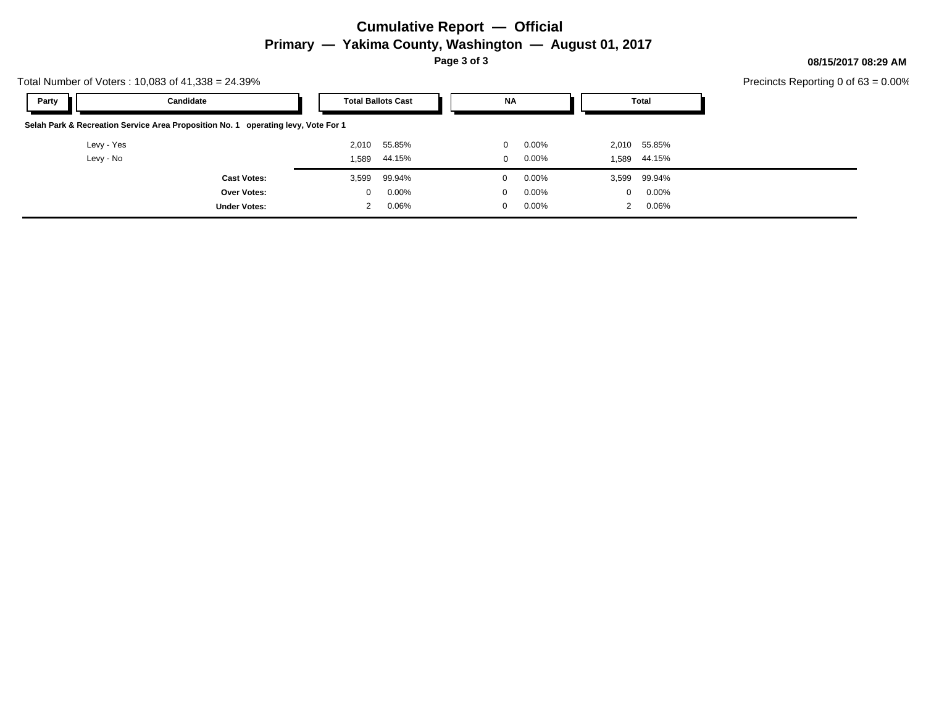## **Cumulative Report — Official Primary — Yakima County, Washington — August 01, 2017**

**Page 3 of 3**

**08/15/2017 08:29 AM**

| Total Number of Voters: $10,083$ of $41,338 = 24.39\%$                            |                     |                           |          |  |              |          |       |              | Precincts Reporting 0 of |  |
|-----------------------------------------------------------------------------------|---------------------|---------------------------|----------|--|--------------|----------|-------|--------------|--------------------------|--|
| Party                                                                             | Candidate           | <b>Total Ballots Cast</b> |          |  | NA           |          | Total |              |                          |  |
| Selah Park & Recreation Service Area Proposition No. 1 operating levy, Vote For 1 |                     |                           |          |  |              |          |       |              |                          |  |
| Levy - Yes                                                                        |                     | 2,010                     | 55.85%   |  | 0            | $0.00\%$ |       | 2,010 55.85% |                          |  |
| Levy - No                                                                         |                     | 1,589                     | 44.15%   |  | 0            | $0.00\%$ |       | 1,589 44.15% |                          |  |
|                                                                                   | <b>Cast Votes:</b>  | 3,599                     | 99.94%   |  | $\mathbf 0$  | $0.00\%$ |       | 3,599 99.94% |                          |  |
|                                                                                   | <b>Over Votes:</b>  | 0                         | $0.00\%$ |  | $\mathbf{0}$ | $0.00\%$ | 0     | $0.00\%$     |                          |  |
|                                                                                   | <b>Under Votes:</b> | 2                         | $0.06\%$ |  | 0            | $0.00\%$ | 2     | $0.06\%$     |                          |  |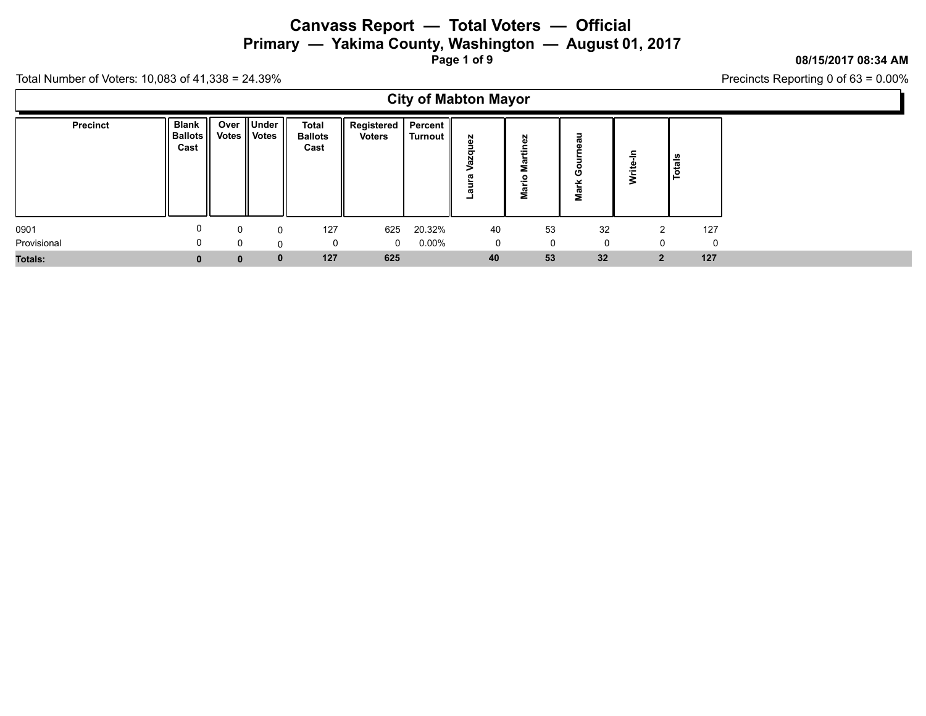**Primary — Yakima County, Washington — August 01, 2017**

**Page 1 of 9**

### **08/15/2017 08:34 AM**

Precincts Reporting 0 of 63 = 0.00%

Total Number of Voters: 10,083 of 41,338 = 24.39%

 $\Gamma$ 

|                 | <b>City of Mabton Mayor</b>     |                |               |                                        |                                         |          |              |                          |                                 |                |               |
|-----------------|---------------------------------|----------------|---------------|----------------------------------------|-----------------------------------------|----------|--------------|--------------------------|---------------------------------|----------------|---------------|
| <b>Precinct</b> | Blank<br><b>Ballots</b><br>Cast | Votes    Votes | Over    Under | <b>Total</b><br><b>Ballots</b><br>Cast | Registered   Percent  <br><b>Voters</b> | Turnout  | Σ.<br>σ<br>٠ | 6Z<br>Š<br>π<br>٠£<br>ga | ∍<br>σ<br>ω<br>O<br>ပ<br>ᆇ<br>g |                | <b>Totals</b> |
| 0901            | 0                               |                | $\Omega$      | 127                                    | 625                                     | 20.32%   | 40           | 53                       | 32                              |                | 127           |
| Provisional     | 0                               |                | U             | 0                                      | $\mathbf 0$                             | $0.00\%$ | $\mathbf 0$  | 0                        | 0                               |                | 0             |
| <b>Totals:</b>  | $\mathbf 0$                     | $\bf{0}$       | $\mathbf{0}$  | 127                                    | 625                                     |          | 40           | 53                       | 32                              | 2 <sup>1</sup> | 127           |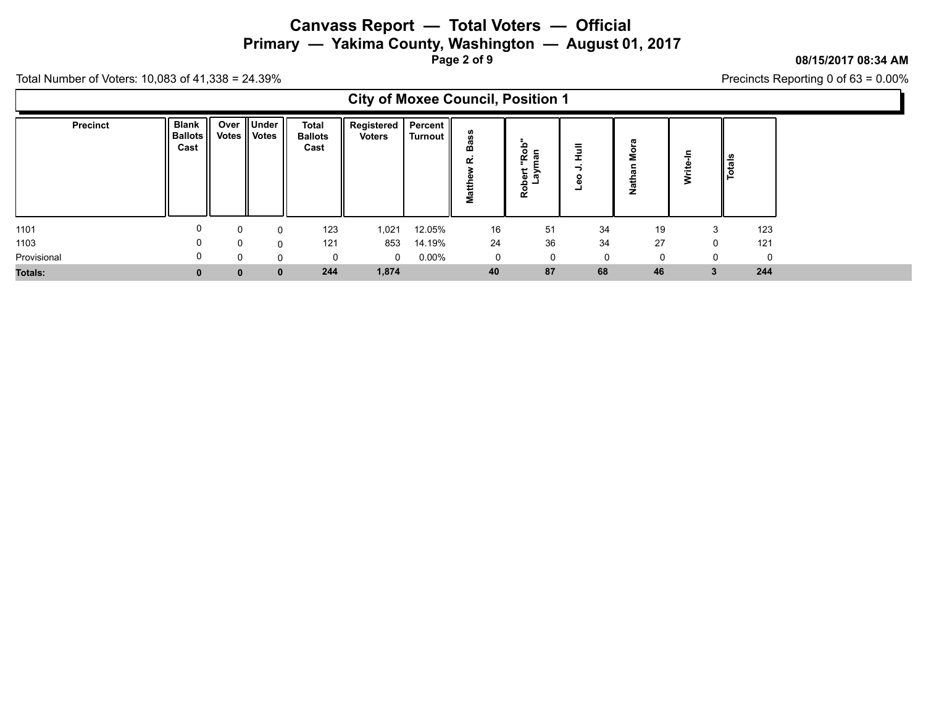## **Canvass Report — Total Voters — Official Primary — Yakima County, Washington — August 01, 2017**

**Page 2 of 9**

### **08/15/2017 08:34 AM**

Precincts Reporting 0 of 63 = 0.00%

Total Number of Voters: 10,083 of 41,338 = 24.39%

 $\Gamma$ 

| <b>City of Moxee Council, Position 1</b> |                                        |              |                                   |                                        |                                          |          |        |                                           |                             |                         |            |             |
|------------------------------------------|----------------------------------------|--------------|-----------------------------------|----------------------------------------|------------------------------------------|----------|--------|-------------------------------------------|-----------------------------|-------------------------|------------|-------------|
| Precinct                                 | <b>Blank</b><br><b>Ballots</b><br>Cast |              | Over    Under  <br>Votes    Votes | <b>Total</b><br><b>Ballots</b><br>Cast | Registered   Percent   <br><b>Voters</b> | Turnout  | œ<br>ξ | $rac{6}{6}$<br>ę̃.<br>ದ<br>유효<br>۔ م<br>ၕ | ₹<br>÷<br>o<br>$\mathbf{a}$ | π<br>۰<br>Σ<br>ਜ਼ੋ<br>Ź | 두<br>Write | tals<br>ے ا |
| 1101                                     |                                        | 0            | 0                                 | 123                                    | 1,021                                    | 12.05%   | 16     | 51                                        | 34                          | 19                      |            | 123         |
| 1103                                     |                                        | <sup>0</sup> | $\mathbf{0}$                      | 121                                    | 853                                      | 14.19%   | 24     | 36                                        | 34                          | 27                      | $\Omega$   | 121         |
| Provisional                              |                                        | $\Omega$     | $\Omega$                          | 0                                      | $\mathbf 0$                              | $0.00\%$ | 0      | $\Omega$                                  | $\Omega$                    |                         | $\Omega$   | $\cap$      |
| <b>Totals:</b>                           |                                        | $\bf{0}$     | $\mathbf{0}$                      | 244                                    | 1,874                                    |          | 40     | 87                                        | 68                          | 46                      |            | 244         |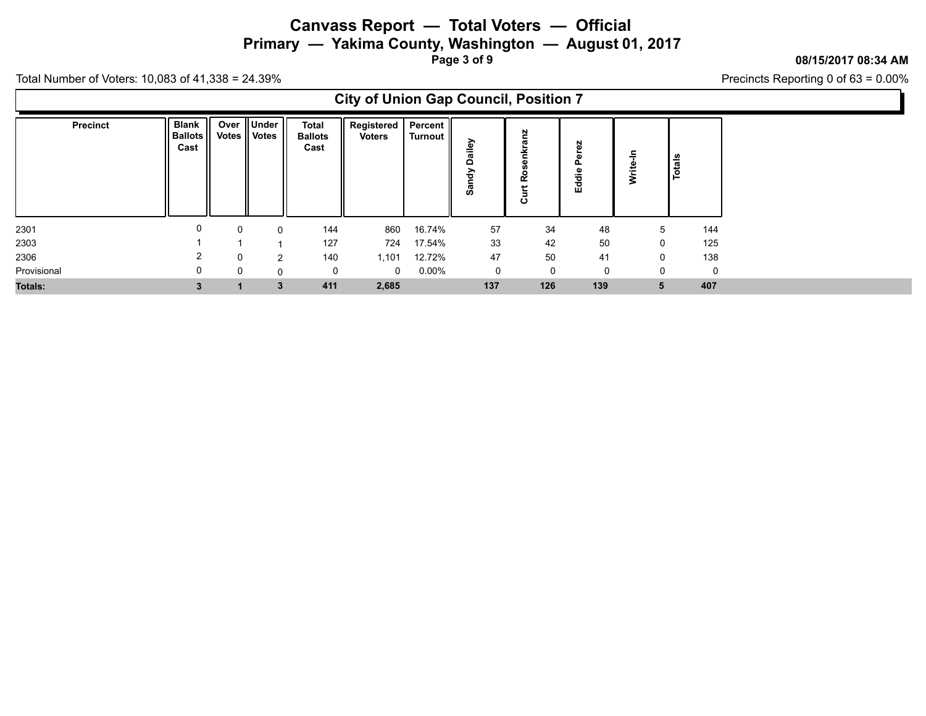## **Canvass Report — Total Voters — Official Primary — Yakima County, Washington — August 01, 2017**

**Page 3 of 9**

#### **08/15/2017 08:34 AM**

Precincts Reporting 0 of 63 = 0.00%

|                 | <b>City of Union Gap Council, Position 7</b> |                      |                       |                                 |                             |                      |                      |                              |                       |          |        |  |
|-----------------|----------------------------------------------|----------------------|-----------------------|---------------------------------|-----------------------------|----------------------|----------------------|------------------------------|-----------------------|----------|--------|--|
| <b>Precinct</b> | <b>Blank</b><br><b>Ballots</b><br>Cast       | Over<br><b>Votes</b> | Under<br><b>Votes</b> | Total<br><b>Ballots</b><br>Cast | Registered<br><b>Voters</b> | Percent  <br>Turnout | э.<br>۵<br>ਠੇ<br>ີສັ | anz<br>╘<br><b>Q</b><br>Curt | 59<br>ក<br>൨<br>Eddie | ≒<br>Š   | Totals |  |
| 2301            |                                              |                      | 0                     | 144                             | 860                         | 16.74%               | 57                   | 34                           | 48                    | 5        | 144    |  |
| 2303            |                                              |                      |                       | 127                             | 724                         | 17.54%               | 33                   | 42                           | 50                    | 0        | 125    |  |
| 2306            | 2                                            |                      | 2                     | 140                             | 1,101                       | 12.72%               | 47                   | 50                           | 41                    | 0        | 138    |  |
| Provisional     | 0                                            |                      | 0                     | 0                               | $\Omega$                    | $0.00\%$             | $\mathbf 0$          | 0                            | $\Omega$              | $\Omega$ |        |  |
| <b>Totals:</b>  |                                              |                      | 3                     | 411                             | 2,685                       |                      | 137                  | 126                          | 139                   | 5        | 407    |  |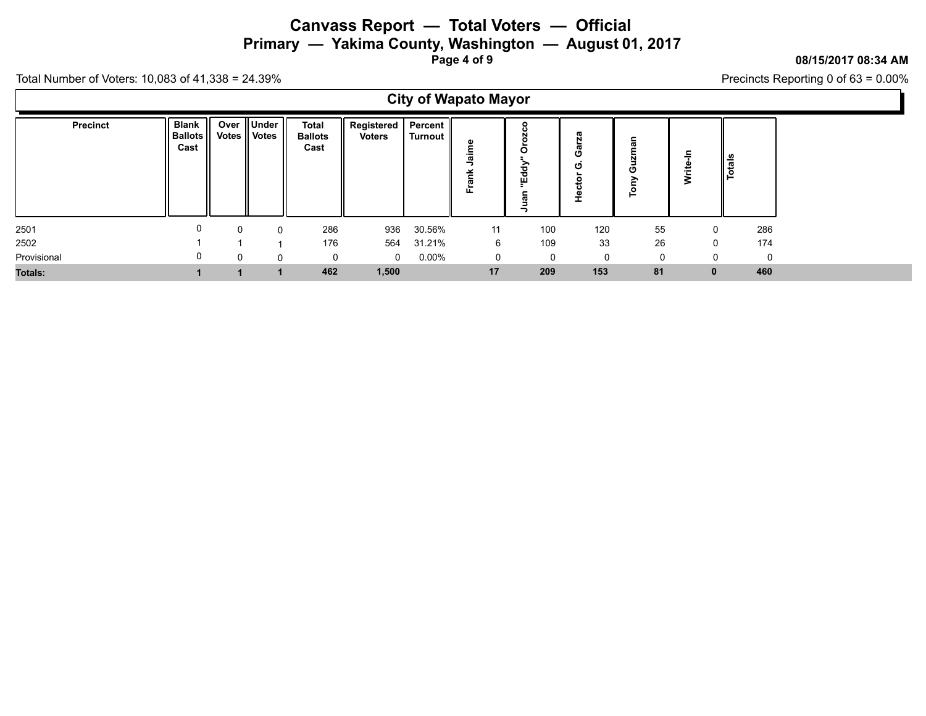## **Canvass Report — Total Voters — Official Primary — Yakima County, Washington — August 01, 2017**

**Page 4 of 9**

### **08/15/2017 08:34 AM**

Precincts Reporting 0 of 63 = 0.00%

Total Number of Voters: 10,083 of 41,338 = 24.39%

 $\Gamma$ 

| <b>City of Wapato Mayor</b> |                                            |          |                           |                                        |                             |                    |                  |                                |                                       |                            |             |        |  |
|-----------------------------|--------------------------------------------|----------|---------------------------|----------------------------------------|-----------------------------|--------------------|------------------|--------------------------------|---------------------------------------|----------------------------|-------------|--------|--|
| Precinct                    | <b>Blank</b><br>- 11<br>Ballots II<br>Cast | Votes    | Over    Under<br>   Votes | <b>Total</b><br><b>Ballots</b><br>Cast | Registered<br><b>Voters</b> | Percent<br>Turnout | ω<br>쏟<br>ω<br>՟ | ۰<br>o<br>O<br>Eddy<br>gr<br>∍ | w<br>N<br>ø<br>O<br>ပ<br>ݠ<br>ċ١<br>운 | ⊆<br>œ<br>N<br>ပ<br>≧<br>흽 | Ξ.<br>Write | Totals |  |
| 2501                        |                                            | $\Omega$ | ⌒                         | 286                                    | 936                         | 30.56%             | 11               | 100                            | 120                                   | 55                         | $\Omega$    | 286    |  |
| 2502                        |                                            |          |                           | 176                                    | 564                         | 31.21%             | 6                | 109                            | 33                                    | 26                         | $\Omega$    | 174    |  |
| Provisional                 |                                            | 0        | O                         | 0                                      | $\mathbf{0}$                | $0.00\%$           | 0                | $\Omega$                       | 0                                     |                            |             | 0      |  |
| <b>Totals:</b>              |                                            |          |                           | 462                                    | 1,500                       |                    | 17               | 209                            | 153                                   | 81                         | $\bf{0}$    | 460    |  |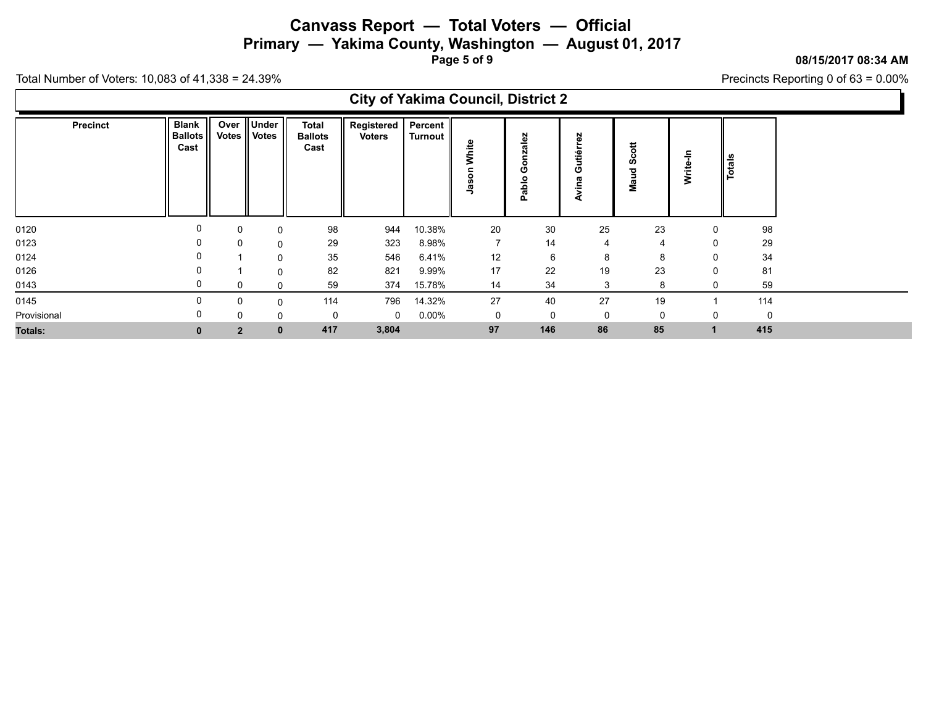**Primary — Yakima County, Washington — August 01, 2017**

**Page 5 of 9**

**08/15/2017 08:34 AM**

Precincts Reporting 0 of 63 = 0.00%

|                                                                                                                    | <b>City of Yakima Council, District 2</b>                        |                                |  |  |  |  |  |  |  |  |  |  |  |  |
|--------------------------------------------------------------------------------------------------------------------|------------------------------------------------------------------|--------------------------------|--|--|--|--|--|--|--|--|--|--|--|--|
| Blank  <br>Over ∥Under I<br>Total<br>Precinct<br>Votes    Votes<br>   Ballots   <br><b>Ballots</b><br>Cast<br>Cast | Registered   Percent   <br><b>Voters</b><br>Turnout   <br>`<br>ט | ٠œ<br><u>ୁ</u><br>o<br>σ<br>._ |  |  |  |  |  |  |  |  |  |  |  |  |

|                |   |   |              |     |          |        |    | 흢   |    | 2  |   |          |
|----------------|---|---|--------------|-----|----------|--------|----|-----|----|----|---|----------|
|                |   |   |              |     |          |        |    |     |    |    |   |          |
| 0120           | U |   | $\Omega$     | 98  | 944      | 10.38% | 20 | 30  | 25 | 23 | 0 | 98       |
| 0123           |   |   | 0            | 29  | 323      | 8.98%  |    | 14  |    | 4  | 0 | 29       |
| 0124           |   |   | 0            | 35  | 546      | 6.41%  | 12 |     |    | 8  | 0 | 34       |
| 0126           |   |   | $\Omega$     | 82  | 821      | 9.99%  | 17 | 22  | 19 | 23 | 0 | 81       |
| 0143           |   |   | $\Omega$     | 59  | 374      | 15.78% | 14 | 34  |    | 8  | 0 | 59       |
| 0145           |   |   | $\Omega$     | 114 | 796      | 14.32% | 27 | 40  | 27 | 19 |   | 114      |
| Provisional    | U | 0 | $\Omega$     |     | $\Omega$ | 0.00%  | 0  |     |    | 0  | 0 | $\Omega$ |
| <b>Totals:</b> |   |   | $\mathbf{0}$ | 417 | 3,804    |        | 97 | 146 | 86 | 85 |   | 415      |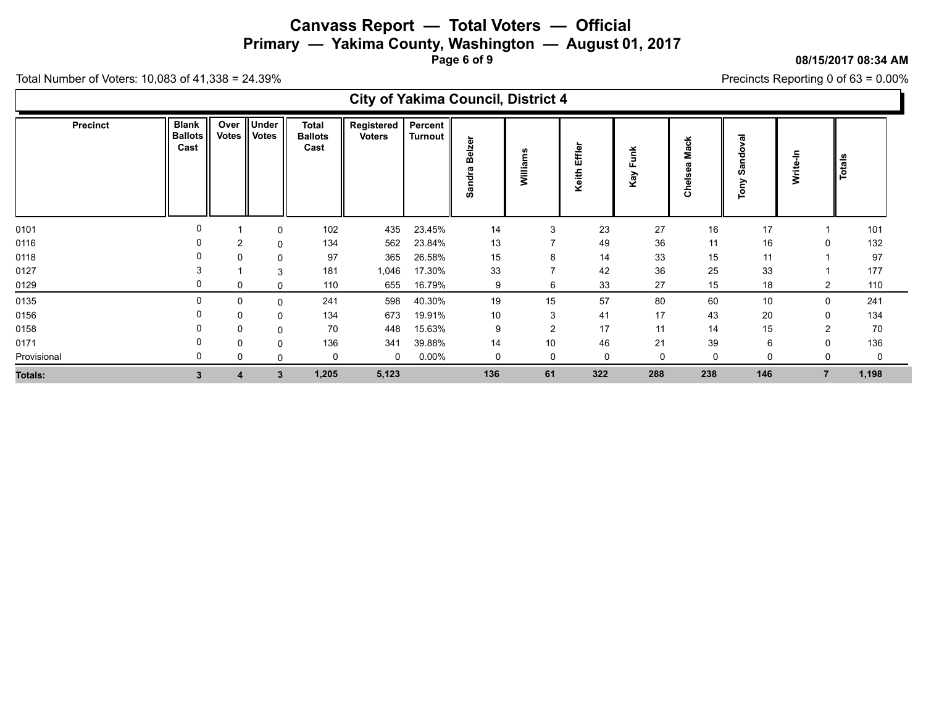**Primary — Yakima County, Washington — August 01, 2017**

**Page 6 of 9**

#### **08/15/2017 08:34 AM**

Ъ

Precincts Reporting 0 of 63 = 0.00%

| <b>City of Yakima Council, District 4</b> |                                        |          |                        |                                        |                             |                           |                         |                |                 |             |                        |                                        |                |               |
|-------------------------------------------|----------------------------------------|----------|------------------------|----------------------------------------|-----------------------------|---------------------------|-------------------------|----------------|-----------------|-------------|------------------------|----------------------------------------|----------------|---------------|
| <b>Precinct</b>                           | <b>Blank</b><br><b>Ballots</b><br>Cast | Over     | Under<br>Votes   Votes | <b>Total</b><br><b>Ballots</b><br>Cast | Registered<br><b>Voters</b> | Percent<br><b>Turnout</b> | elzer<br>œ<br>π<br>Sand | Williams       | Effler<br>Keith | Funk<br>Kay | <b>Mack</b><br>Chelsea | ಸ<br>⋗<br>po<br>σ<br><b>SC</b><br>Tony | 두<br>Write-    | <b>Totals</b> |
| 0101                                      |                                        |          | 0                      | 102                                    | 435                         | 23.45%                    | 14                      | 3              | 23              | 27          | 16                     | 17                                     |                | 101           |
| 0116                                      |                                        | 2        | 0                      | 134                                    | 562                         | 23.84%                    | 13                      |                | 49              | 36          | 11                     | 16                                     |                | 132           |
| 0118                                      |                                        | $\Omega$ | 0                      | 97                                     | 365                         | 26.58%                    | 15                      | 8              | 14              | 33          | 15                     | 11                                     |                | 97            |
| 0127                                      |                                        |          | 3                      | 181                                    | 1,046                       | 17.30%                    | 33                      | $\overline{7}$ | 42              | 36          | 25                     | 33                                     |                | 177           |
| 0129                                      | 0                                      | 0        | $\Omega$               | 110                                    | 655                         | 16.79%                    | 9                       | 6              | 33              | 27          | 15                     | 18                                     | 2              | 110           |
| 0135                                      | $\Omega$                               | 0        | $\Omega$               | 241                                    | 598                         | 40.30%                    | 19                      | 15             | 57              | 80          | 60                     | 10                                     | $\Omega$       | 241           |
| 0156                                      |                                        | 0        | 0                      | 134                                    | 673                         | 19.91%                    | 10                      | 3              | 41              | 17          | 43                     | 20                                     | 0              | 134           |
| 0158                                      |                                        | 0        | 0                      | 70                                     | 448                         | 15.63%                    | 9                       | $\overline{c}$ | 17              | 11          | 14                     | 15                                     |                | 70            |
| 0171                                      |                                        | 0        | 0                      | 136                                    | 341                         | 39.88%                    | 14                      | 10             | 46              | 21          | 39                     | 6                                      |                | 136           |
| Provisional                               |                                        | 0        | 0                      |                                        | 0                           | 0.00%                     | 0                       | $\mathbf 0$    | 0               | 0           | $\Omega$               | $\Omega$                               |                | $\Omega$      |
| Totals:                                   | 3                                      | 4        | 3                      | 1,205                                  | 5,123                       |                           | 136                     | 61             | 322             | 288         | 238                    | 146                                    | $\overline{7}$ | 1,198         |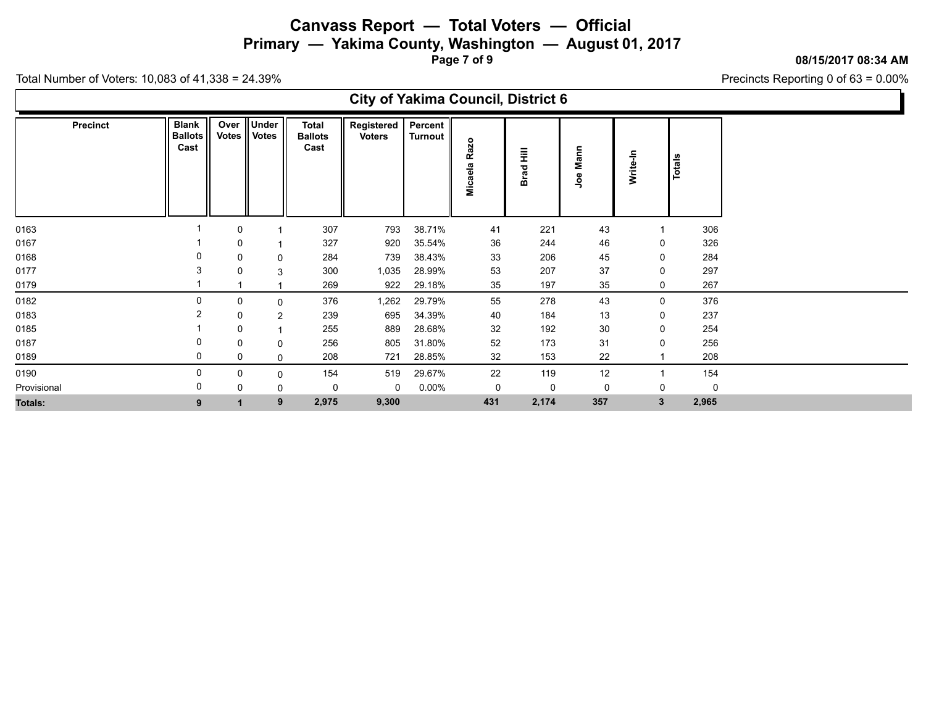**Primary — Yakima County, Washington — August 01, 2017**

**Page 7 of 9**

**08/15/2017 08:34 AM**

Precincts Reporting 0 of 63 = 0.00%

| <b>City of Yakima Council, District 6</b> |  |
|-------------------------------------------|--|
|-------------------------------------------|--|

| Precinct       | <b>Blank</b><br><b>Ballots</b><br>Cast | Over<br>Votes | Under<br>   Votes | <b>Total</b><br><b>Ballots</b><br>Cast | <b>Registered</b><br><b>Voters</b> | Percent<br><b>Turnout</b> | <b>Razo</b> | Ē           | Mann           | Write-In     | Totals |       |
|----------------|----------------------------------------|---------------|-------------------|----------------------------------------|------------------------------------|---------------------------|-------------|-------------|----------------|--------------|--------|-------|
|                |                                        |               |                   |                                        |                                    |                           | Micaela     | <b>Brad</b> | <b>go</b>      |              |        |       |
| 0163           |                                        | 0             |                   | 307                                    | 793                                | 38.71%                    | 41          | 221         | 43             |              |        | 306   |
| 0167           |                                        | 0             |                   | 327                                    | 920                                | 35.54%                    | 36          | 244         | 46             | 0            |        | 326   |
| 0168           | 0                                      | 0             | $\mathbf 0$       | 284                                    | 739                                | 38.43%                    | 33          | 206         | 45             | 0            |        | 284   |
| 0177           | 3                                      | $\mathbf{0}$  | 3                 | 300                                    | 1,035                              | 28.99%                    | 53          | 207         | 37             | 0            |        | 297   |
| 0179           |                                        |               |                   | 269                                    | 922                                | 29.18%                    | 35          | 197         | 35             | $\mathbf 0$  |        | 267   |
| 0182           | 0                                      | 0             | $\mathbf 0$       | 376                                    | 1,262                              | 29.79%                    | 55          | 278         | 43             | $\mathbf 0$  |        | 376   |
| 0183           | $\overline{2}$                         | $\mathbf 0$   | $\overline{2}$    | 239                                    | 695                                | 34.39%                    | 40          | 184         | 13             | 0            |        | 237   |
| 0185           |                                        | 0             |                   | 255                                    | 889                                | 28.68%                    | 32          | 192         | 30             | 0            |        | 254   |
| 0187           | 0                                      | 0             | $\mathbf 0$       | 256                                    | 805                                | 31.80%                    | $52\,$      | 173         | 31             | 0            |        | 256   |
| 0189           | 0                                      | 0             | $\mathbf 0$       | 208                                    | 721                                | 28.85%                    | 32          | 153         | 22             |              |        | 208   |
| 0190           | $\mathbf 0$                            | 0             | $\mathbf 0$       | 154                                    | 519                                | 29.67%                    | 22          | 119         | 12             |              |        | 154   |
| Provisional    | 0                                      | $\Omega$      | $\mathbf 0$       | 0                                      | 0                                  | $0.00\%$                  | $\mathbf 0$ | $\mathbf 0$ | $\overline{0}$ | 0            |        | 0     |
| <b>Totals:</b> | 9                                      |               | 9                 | 2,975                                  | 9,300                              |                           | 431         | 2,174       | 357            | $\mathbf{3}$ |        | 2,965 |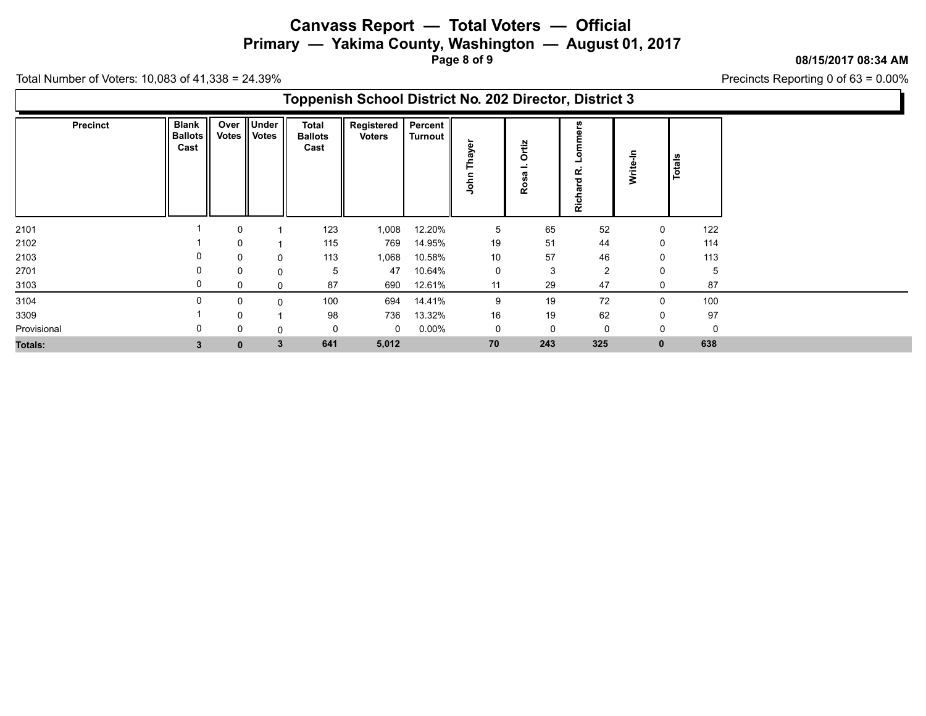**Primary — Yakima County, Washington — August 01, 2017**

**Page 8 of 9**

**08/15/2017 08:34 AM**

Precincts Reporting 0 of 63 = 0.00%

|                 |                                        |              |                              |                                        | Toppenish School District No. 202 Director, District 3 |                    |                            |                              |                          |             |          |
|-----------------|----------------------------------------|--------------|------------------------------|----------------------------------------|--------------------------------------------------------|--------------------|----------------------------|------------------------------|--------------------------|-------------|----------|
| <b>Precinct</b> | <b>Blank</b><br><b>Ballots</b><br>Cast |              | Over Under<br>Votes    Votes | <b>Total</b><br><b>Ballots</b><br>Cast | Registered<br><b>Voters</b>                            | Percent<br>Turnout | $\omega$<br>><br>π<br>John | Ortiz<br>σ<br><b>SC</b><br>ě | ပ္ပ<br>۰<br>œ<br>Richard | 두<br>Write- | Totals   |
| 2101            |                                        | 0            |                              | 123                                    | 1,008                                                  | 12.20%             | 5                          | 65                           | 52                       | 0           | 122      |
| 2102            |                                        | 0            |                              | 115                                    | 769                                                    | 14.95%             | 19                         | 51                           | 44                       | 0           | 114      |
| 2103            |                                        | 0            | 0                            | 113                                    | 1,068                                                  | 10.58%             | 10                         | 57                           | 46                       | 0           | 113      |
| 2701            | 0                                      | 0            | 0                            | 5                                      | 47                                                     | 10.64%             | 0                          | 3                            | $\overline{2}$           | 0           | -5       |
| 3103            | 0                                      | 0            | 0                            | 87                                     | 690                                                    | 12.61%             | 11                         | 29                           | 47                       | 0           | 87       |
| 3104            |                                        | 0            | 0                            | 100                                    | 694                                                    | 14.41%             | 9                          | 19                           | 72                       | 0           | 100      |
| 3309            |                                        | $\Omega$     |                              | 98                                     | 736                                                    | 13.32%             | 16                         | 19                           | 62                       | $\Omega$    | 97       |
| Provisional     |                                        | 0            | 0                            |                                        | 0                                                      | $0.00\%$           | 0                          | 0                            | 0                        | $\Omega$    | $\Omega$ |
| Totals:         | 3                                      | $\mathbf{0}$ | 3                            | 641                                    | 5,012                                                  |                    | 70                         | 243                          | 325                      | $\mathbf 0$ | 638      |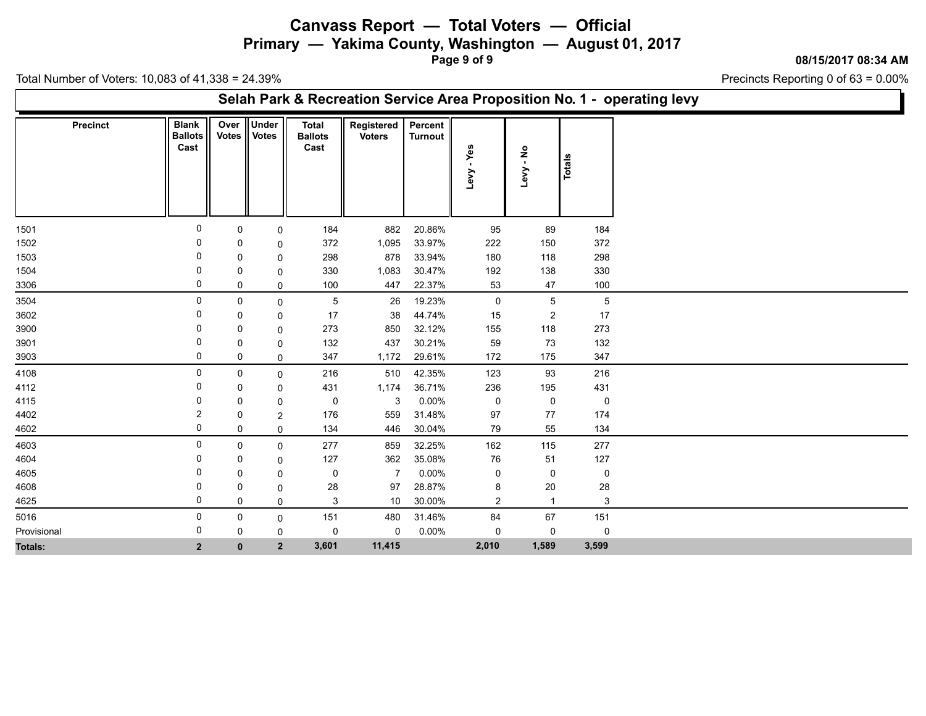**Primary — Yakima County, Washington — August 01, 2017**

**Page 9 of 9**

**08/15/2017 08:34 AM**

Precincts Reporting 0 of 63 = 0.00%

Total Number of Voters: 10,083 of 41,338 = 24.39%

## **Selah Park & Recreation Service Area Proposition No. 1 - operating levy**

| <b>Precinct</b> | <b>Blank</b><br><b>Ballots</b><br>Cast | Over<br><b>Votes</b> | <b>Under</b><br><b>Votes</b> | <b>Total</b><br><b>Ballots</b><br>Cast | Registered<br><b>Voters</b> | Percent<br>Turnout | Yes<br>$\mathbf{L}$<br>Levy | $\frac{1}{2}$<br><b>Me7</b> | <b>Totals</b> |
|-----------------|----------------------------------------|----------------------|------------------------------|----------------------------------------|-----------------------------|--------------------|-----------------------------|-----------------------------|---------------|
| 1501            | $\mathbf 0$                            | 0                    | 0                            | 184                                    | 882                         | 20.86%             | 95                          | 89                          | 184           |
| 1502            | 0                                      | 0                    | $\Omega$                     | 372                                    | 1,095                       | 33.97%             | 222                         | 150                         | 372           |
| 1503            | 0                                      | 0                    | 0                            | 298                                    | 878                         | 33.94%             | 180                         | 118                         | 298           |
| 1504            |                                        | 0                    | 0                            | 330                                    | 1,083                       | 30.47%             | 192                         | 138                         | 330           |
| 3306            | 0                                      | 0                    | 0                            | 100                                    | 447                         | 22.37%             | 53                          | 47                          | 100           |
| 3504            | 0                                      | 0                    | 0                            | $\mathbf 5$                            | 26                          | 19.23%             | $\mathsf{O}$                | $\,$ 5 $\,$                 | $\mathbf 5$   |
| 3602            | 0                                      | 0                    | 0                            | 17                                     | 38                          | 44.74%             | 15                          | $\boldsymbol{2}$            | 17            |
| 3900            |                                        | 0                    | $\mathbf 0$                  | 273                                    | 850                         | 32.12%             | 155                         | 118                         | 273           |
| 3901            |                                        | 0                    | 0                            | 132                                    | 437                         | 30.21%             | 59                          | 73                          | 132           |
| 3903            | 0                                      | 0                    | 0                            | 347                                    | 1,172                       | 29.61%             | 172                         | 175                         | 347           |
| 4108            | 0                                      | 0                    | 0                            | 216                                    | 510                         | 42.35%             | 123                         | 93                          | 216           |
| 4112            | 0                                      | 0                    | 0                            | 431                                    | 1,174                       | 36.71%             | 236                         | 195                         | 431           |
| 4115            | 0                                      | $\mathbf 0$          | $\mathbf 0$                  | 0                                      | 3                           | $0.00\%$           | $\mathbf 0$                 | 0                           | $\mathbf 0$   |
| 4402            | 2                                      | 0                    | $\overline{2}$               | 176                                    | 559                         | 31.48%             | 97                          | 77                          | 174           |
| 4602            | 0                                      | 0                    | 0                            | 134                                    | 446                         | 30.04%             | 79                          | 55                          | 134           |
| 4603            | 0                                      | 0                    | 0                            | 277                                    | 859                         | 32.25%             | 162                         | 115                         | 277           |
| 4604            | 0                                      | 0                    | 0                            | 127                                    | 362                         | 35.08%             | ${\bf 76}$                  | 51                          | 127           |
| 4605            |                                        | 0                    | $\mathbf 0$                  | 0                                      | $\overline{7}$              | 0.00%              | $\pmb{0}$                   | $\mathsf 0$                 | 0             |
| 4608            | <sup>0</sup>                           | 0                    | 0                            | 28                                     | 97                          | 28.87%             | 8                           | 20                          | 28            |
| 4625            | 0                                      | 0                    | 0                            | $\sqrt{3}$                             | 10                          | 30.00%             | $\overline{2}$              | $\mathbf{1}$                | 3             |
| 5016            | 0                                      | 0                    | 0                            | 151                                    | 480                         | 31.46%             | 84                          | 67                          | 151           |
| Provisional     | 0                                      | 0                    | 0                            | 0                                      | 0                           | $0.00\%$           | 0                           | 0                           | 0             |
| <b>Totals:</b>  | $\overline{2}$                         | $\mathbf 0$          | $\overline{\mathbf{2}}$      | 3,601                                  | 11,415                      |                    | 2,010                       | 1,589                       | 3,599         |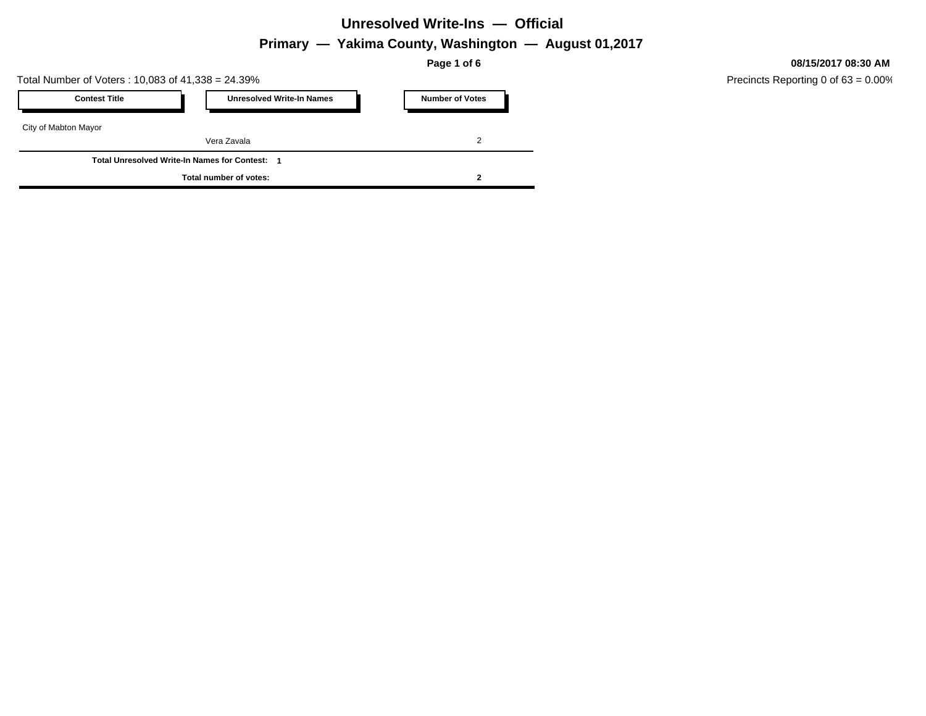## **Primary — Yakima County, Washington — August 01,2017**

**Page 1 of 6**

Total Number of Voters : 10,083 of 41,338 = 24.39%

| <b>Contest Title</b>                                |  | <b>Unresolved Write-In Names</b> |  | <b>Number of Votes</b> |  |  |  |
|-----------------------------------------------------|--|----------------------------------|--|------------------------|--|--|--|
| City of Mabton Mayor                                |  |                                  |  |                        |  |  |  |
|                                                     |  | Vera Zavala                      |  |                        |  |  |  |
| <b>Total Unresolved Write-In Names for Contest:</b> |  |                                  |  |                        |  |  |  |
| Total number of votes:                              |  |                                  |  |                        |  |  |  |

**08/15/2017 08:30 AM**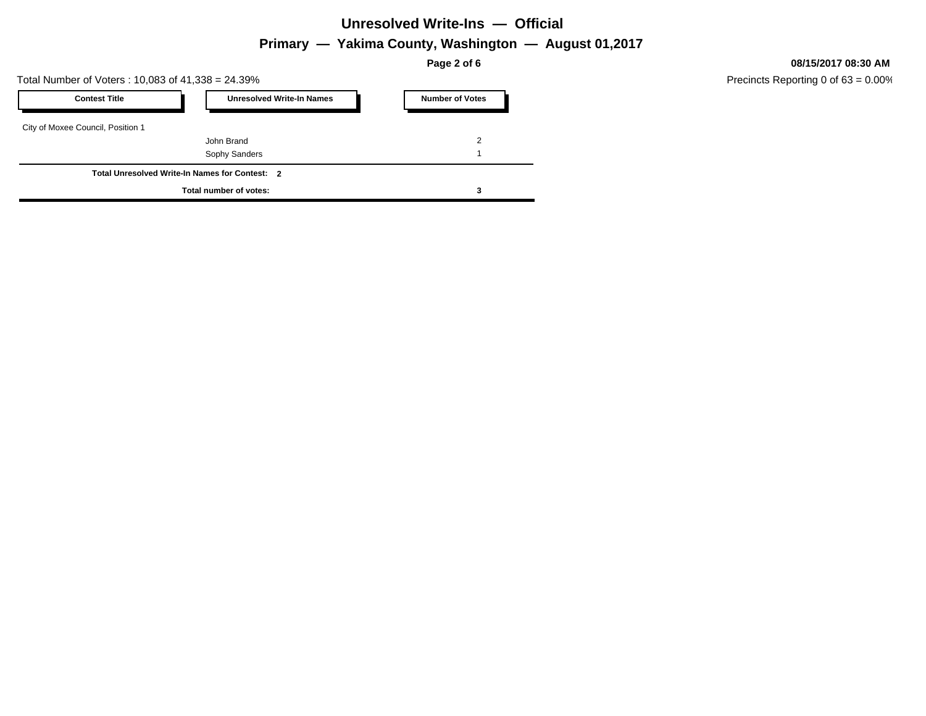## **Primary — Yakima County, Washington — August 01,2017**

**Page 2 of 6**

Total Number of Voters : 10,083 of 41,338 = 24.39%

| <b>Contest Title</b>              | <b>Unresolved Write-In Names</b>               | <b>Number of Votes</b> |
|-----------------------------------|------------------------------------------------|------------------------|
| City of Moxee Council, Position 1 |                                                |                        |
|                                   | John Brand                                     | 2                      |
|                                   | Sophy Sanders                                  |                        |
|                                   | Total Unresolved Write-In Names for Contest: 2 |                        |
|                                   | Total number of votes:                         |                        |

**08/15/2017 08:30 AM**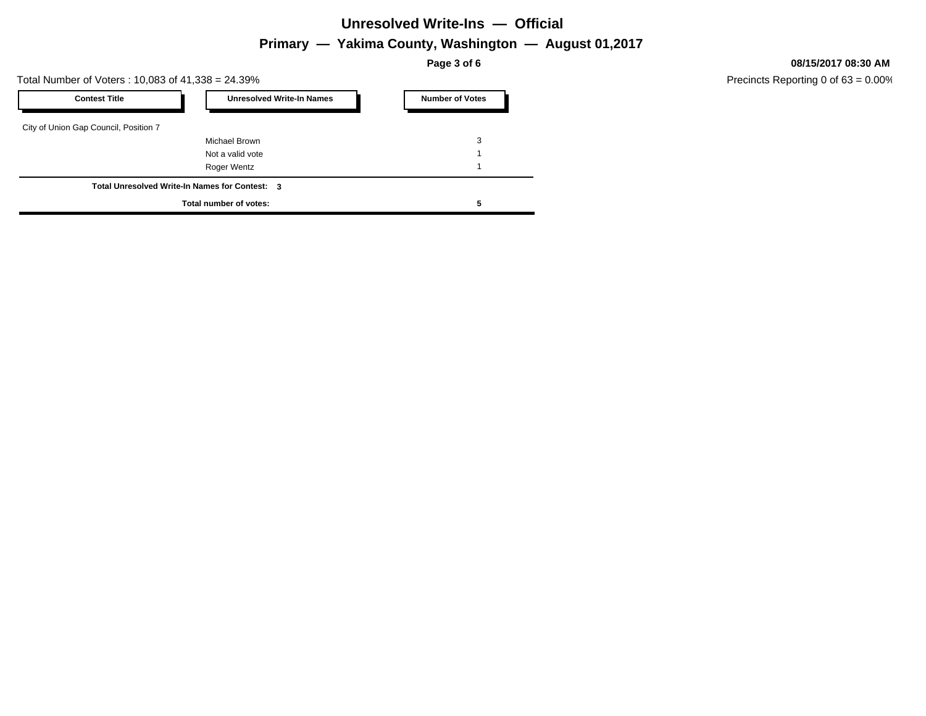## **Primary — Yakima County, Washington — August 01,2017**

**Page 3 of 6**

Total Number of Voters : 10,083 of 41,338 = 24.39%

| <b>Contest Title</b>                  | <b>Unresolved Write-In Names</b>               | <b>Number of Votes</b> |
|---------------------------------------|------------------------------------------------|------------------------|
| City of Union Gap Council, Position 7 |                                                |                        |
|                                       | Michael Brown                                  | 3                      |
|                                       | Not a valid vote                               |                        |
|                                       | Roger Wentz                                    |                        |
|                                       | Total Unresolved Write-In Names for Contest: 3 |                        |
|                                       | Total number of votes:                         |                        |

**08/15/2017 08:30 AM**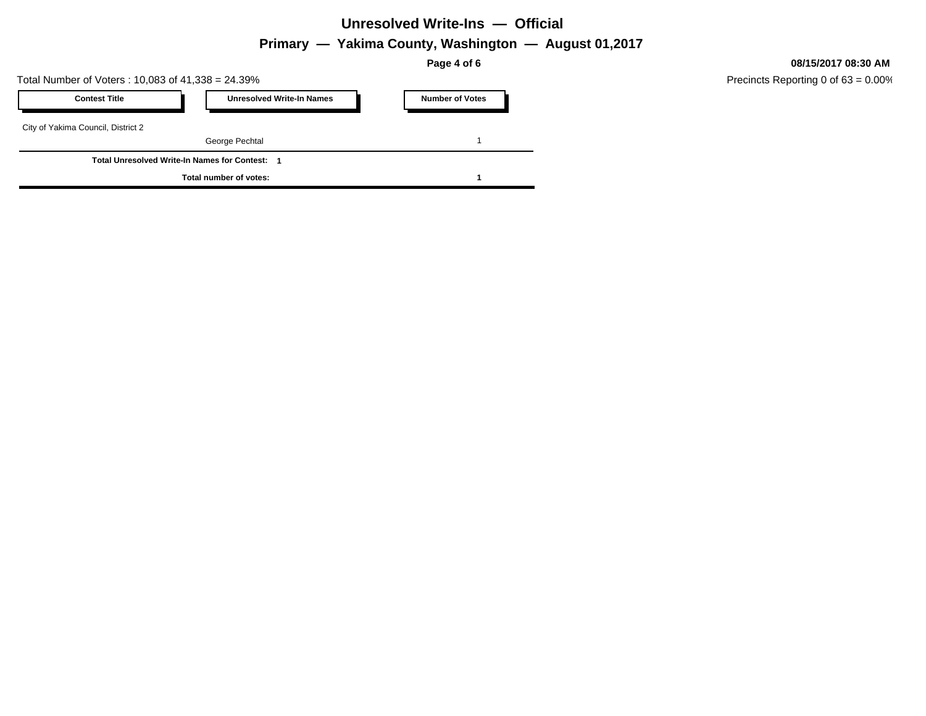## **Primary — Yakima County, Washington — August 01,2017**

**Page 4 of 6**

Total Number of Voters : 10,083 of 41,338 = 24.39%

| <b>Contest Title</b>                                | <b>Unresolved Write-In Names</b> | <b>Number of Votes</b> |  |  |  |  |
|-----------------------------------------------------|----------------------------------|------------------------|--|--|--|--|
| City of Yakima Council, District 2                  |                                  |                        |  |  |  |  |
|                                                     | George Pechtal                   |                        |  |  |  |  |
| <b>Total Unresolved Write-In Names for Contest:</b> |                                  |                        |  |  |  |  |
|                                                     | Total number of votes:           |                        |  |  |  |  |

#### **08/15/2017 08:30 AM**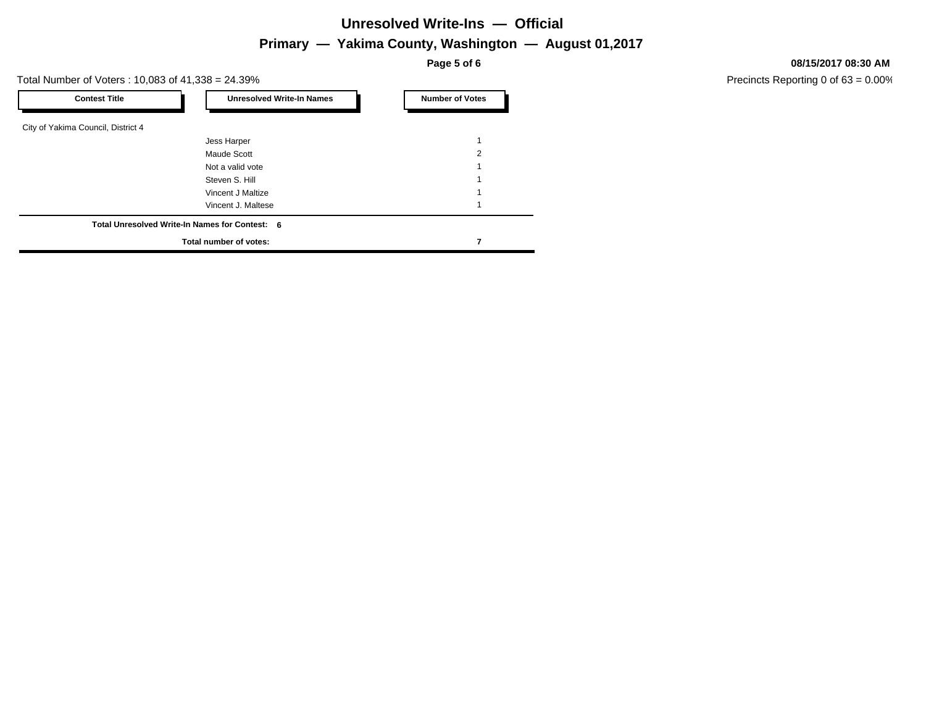## **Primary — Yakima County, Washington — August 01,2017**

**Page 5 of 6**

Total Number of Voters : 10,083 of 41,338 = 24.39%

| <b>Contest Title</b>               | <b>Unresolved Write-In Names</b>               | <b>Number of Votes</b> |
|------------------------------------|------------------------------------------------|------------------------|
| City of Yakima Council, District 4 |                                                |                        |
|                                    | Jess Harper                                    |                        |
|                                    | Maude Scott                                    | 2                      |
|                                    | Not a valid vote                               |                        |
|                                    | Steven S. Hill                                 |                        |
|                                    | Vincent J Maltize                              |                        |
|                                    | Vincent J. Maltese                             |                        |
|                                    | Total Unresolved Write-In Names for Contest: 6 |                        |
|                                    | Total number of votes:                         |                        |

**08/15/2017 08:30 AM**